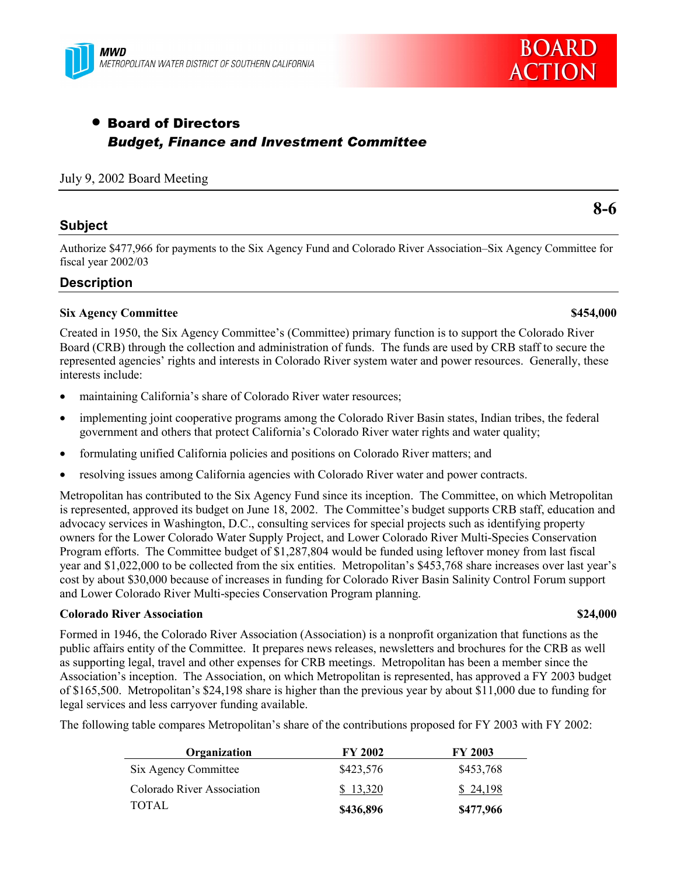

# • Board of Directors *Budget, Finance and Investment Committee*

#### July 9, 2002 Board Meeting

#### **Subject**

Authorize \$477,966 for payments to the Six Agency Fund and Colorado River Association–Six Agency Committee for fiscal year 2002/03

#### **Description**

#### **Six Agency Committee \$454,000**

Created in 1950, the Six Agency Committee's (Committee) primary function is to support the Colorado River Board (CRB) through the collection and administration of funds. The funds are used by CRB staff to secure the represented agenciesí rights and interests in Colorado River system water and power resources. Generally, these interests include:

- maintaining California's share of Colorado River water resources;
- implementing joint cooperative programs among the Colorado River Basin states, Indian tribes, the federal government and others that protect California's Colorado River water rights and water quality;
- formulating unified California policies and positions on Colorado River matters; and
- resolving issues among California agencies with Colorado River water and power contracts.

Metropolitan has contributed to the Six Agency Fund since its inception. The Committee, on which Metropolitan is represented, approved its budget on June 18, 2002. The Committee's budget supports CRB staff, education and advocacy services in Washington, D.C., consulting services for special projects such as identifying property owners for the Lower Colorado Water Supply Project, and Lower Colorado River Multi-Species Conservation Program efforts. The Committee budget of \$1,287,804 would be funded using leftover money from last fiscal year and \$1,022,000 to be collected from the six entities. Metropolitan's \$453,768 share increases over last year's cost by about \$30,000 because of increases in funding for Colorado River Basin Salinity Control Forum support and Lower Colorado River Multi-species Conservation Program planning.

#### **Colorado River Association \$24,000**

Formed in 1946, the Colorado River Association (Association) is a nonprofit organization that functions as the public affairs entity of the Committee. It prepares news releases, newsletters and brochures for the CRB as well as supporting legal, travel and other expenses for CRB meetings. Metropolitan has been a member since the Associationís inception. The Association, on which Metropolitan is represented, has approved a FY 2003 budget of \$165,500. Metropolitanís \$24,198 share is higher than the previous year by about \$11,000 due to funding for legal services and less carryover funding available.

The following table compares Metropolitan's share of the contributions proposed for FY 2003 with FY 2002:

| Organization               | <b>FY 2002</b> | <b>FY 2003</b> |
|----------------------------|----------------|----------------|
| Six Agency Committee       | \$423,576      | \$453,768      |
| Colorado River Association | \$13,320       | \$24.198       |
| TOTAL.                     | \$436,896      | \$477,966      |

# **8-6**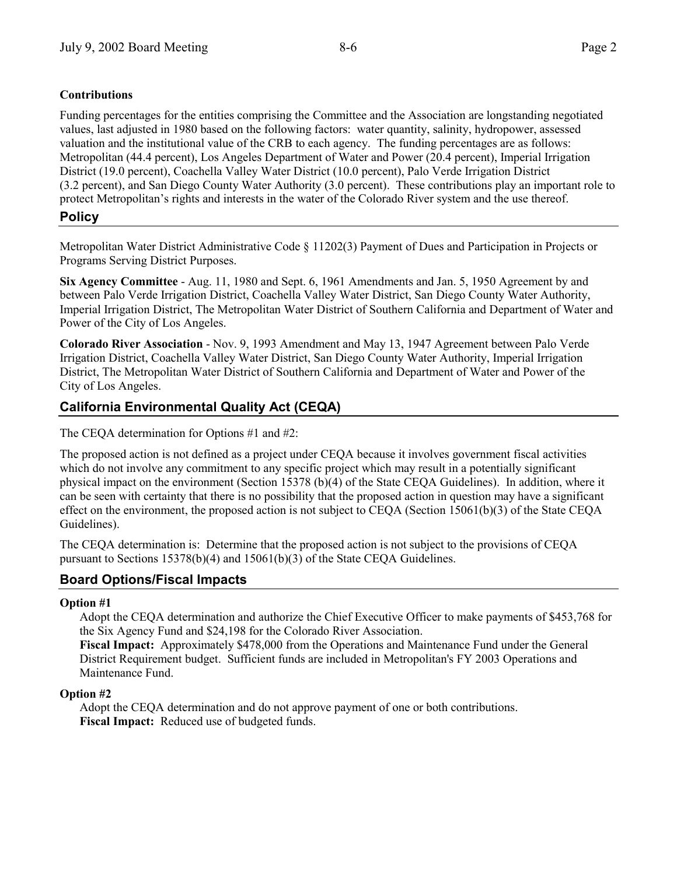## **Contributions**

Funding percentages for the entities comprising the Committee and the Association are longstanding negotiated values, last adjusted in 1980 based on the following factors: water quantity, salinity, hydropower, assessed valuation and the institutional value of the CRB to each agency. The funding percentages are as follows: Metropolitan (44.4 percent), Los Angeles Department of Water and Power (20.4 percent), Imperial Irrigation District (19.0 percent), Coachella Valley Water District (10.0 percent), Palo Verde Irrigation District (3.2 percent), and San Diego County Water Authority (3.0 percent). These contributions play an important role to protect Metropolitanís rights and interests in the water of the Colorado River system and the use thereof.

# **Policy**

Metropolitan Water District Administrative Code ß 11202(3) Payment of Dues and Participation in Projects or Programs Serving District Purposes.

**Six Agency Committee** - Aug. 11, 1980 and Sept. 6, 1961 Amendments and Jan. 5, 1950 Agreement by and between Palo Verde Irrigation District, Coachella Valley Water District, San Diego County Water Authority, Imperial Irrigation District, The Metropolitan Water District of Southern California and Department of Water and Power of the City of Los Angeles.

**Colorado River Association** - Nov. 9, 1993 Amendment and May 13, 1947 Agreement between Palo Verde Irrigation District, Coachella Valley Water District, San Diego County Water Authority, Imperial Irrigation District, The Metropolitan Water District of Southern California and Department of Water and Power of the City of Los Angeles.

# **California Environmental Quality Act (CEQA)**

The CEQA determination for Options #1 and #2:

The proposed action is not defined as a project under CEQA because it involves government fiscal activities which do not involve any commitment to any specific project which may result in a potentially significant physical impact on the environment (Section 15378 (b)(4) of the State CEQA Guidelines). In addition, where it can be seen with certainty that there is no possibility that the proposed action in question may have a significant effect on the environment, the proposed action is not subject to CEQA (Section 15061(b)(3) of the State CEQA Guidelines).

The CEQA determination is: Determine that the proposed action is not subject to the provisions of CEQA pursuant to Sections 15378(b)(4) and 15061(b)(3) of the State CEQA Guidelines.

# **Board Options/Fiscal Impacts**

#### **Option #1**

Adopt the CEQA determination and authorize the Chief Executive Officer to make payments of \$453,768 for the Six Agency Fund and \$24,198 for the Colorado River Association.

**Fiscal Impact:** Approximately \$478,000 from the Operations and Maintenance Fund under the General District Requirement budget. Sufficient funds are included in Metropolitan's FY 2003 Operations and Maintenance Fund.

## **Option #2**

Adopt the CEQA determination and do not approve payment of one or both contributions. **Fiscal Impact:** Reduced use of budgeted funds.